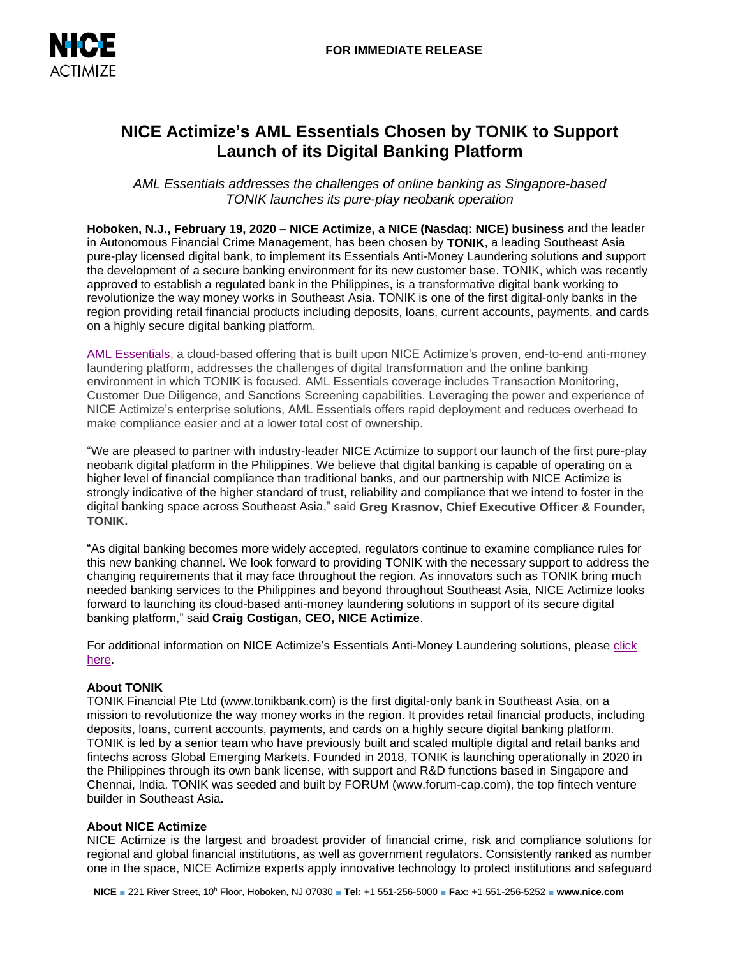

# **NICE Actimize's AML Essentials Chosen by TONIK to Support Launch of its Digital Banking Platform**

*AML Essentials addresses the challenges of online banking as Singapore-based TONIK launches its pure-play neobank operation*

**Hoboken, N.J., February 19, 2020 – NICE Actimize, a NICE (Nasdaq: NICE) business** and the leader in Autonomous Financial Crime Management, has been chosen by **TONIK**, a leading Southeast Asia pure-play licensed digital bank, to implement its Essentials Anti-Money Laundering solutions and support the development of a secure banking environment for its new customer base. TONIK, which was recently approved to establish a regulated bank in the Philippines, is a transformative digital bank working to revolutionize the way money works in Southeast Asia. TONIK is one of the first digital-only banks in the region providing retail financial products including deposits, loans, current accounts, payments, and cards on a highly secure digital banking platform.

[AML Essentials,](https://www.niceactimize.com/cloud/aml-essentials/#utm_source=press%20release&utm_medium=press%20release&utm_campaign=AML&utm_term=AML) a cloud-based offering that is built upon NICE Actimize's proven, end-to-end anti-money laundering platform, addresses the challenges of digital transformation and the online banking environment in which TONIK is focused. AML Essentials coverage includes Transaction Monitoring, Customer Due Diligence, and Sanctions Screening capabilities. Leveraging the power and experience of NICE Actimize's enterprise solutions, AML Essentials offers rapid deployment and reduces overhead to make compliance easier and at a lower total cost of ownership.

"We are pleased to partner with industry-leader NICE Actimize to support our launch of the first pure-play neobank digital platform in the Philippines. We believe that digital banking is capable of operating on a higher level of financial compliance than traditional banks, and our partnership with NICE Actimize is strongly indicative of the higher standard of trust, reliability and compliance that we intend to foster in the digital banking space across Southeast Asia," said **Greg Krasnov, Chief Executive Officer & Founder, TONIK.**

"As digital banking becomes more widely accepted, regulators continue to examine compliance rules for this new banking channel. We look forward to providing TONIK with the necessary support to address the changing requirements that it may face throughout the region. As innovators such as TONIK bring much needed banking services to the Philippines and beyond throughout Southeast Asia, NICE Actimize looks forward to launching its cloud-based anti-money laundering solutions in support of its secure digital banking platform," said **Craig Costigan, CEO, NICE Actimize**.

For additional information on NICE Actimize's Essentials Anti-Money Laundering solutions, please [click](https://www.niceactimize.com/cloud/aml-essentials/#utm_source=press%20release&utm_medium=press%20release&utm_campaign=AML&utm_term=AML)  [here.](https://www.niceactimize.com/cloud/aml-essentials/#utm_source=press%20release&utm_medium=press%20release&utm_campaign=AML&utm_term=AML)

# **About TONIK**

TONIK Financial Pte Ltd (www.tonikbank.com) is the first digital-only bank in Southeast Asia, on a mission to revolutionize the way money works in the region. It provides retail financial products, including deposits, loans, current accounts, payments, and cards on a highly secure digital banking platform. TONIK is led by a senior team who have previously built and scaled multiple digital and retail banks and fintechs across Global Emerging Markets. Founded in 2018, TONIK is launching operationally in 2020 in the Philippines through its own bank license, with support and R&D functions based in Singapore and Chennai, India. TONIK was seeded and built by FORUM (www.forum-cap.com), the top fintech venture builder in Southeast Asia**.** 

## **About NICE Actimize**

NICE Actimize is the largest and broadest provider of financial crime, risk and compliance solutions for regional and global financial institutions, as well as government regulators. Consistently ranked as number one in the space, NICE Actimize experts apply innovative technology to protect institutions and safeguard

**NICE** ■ 221 River Street, 10<sup>h</sup> Floor, Hoboken, NJ 07030 ■ **Tel:** +1 551-256-5000 ■ **Fax:** +1 551-256-5252 ■ **www.nice.com**